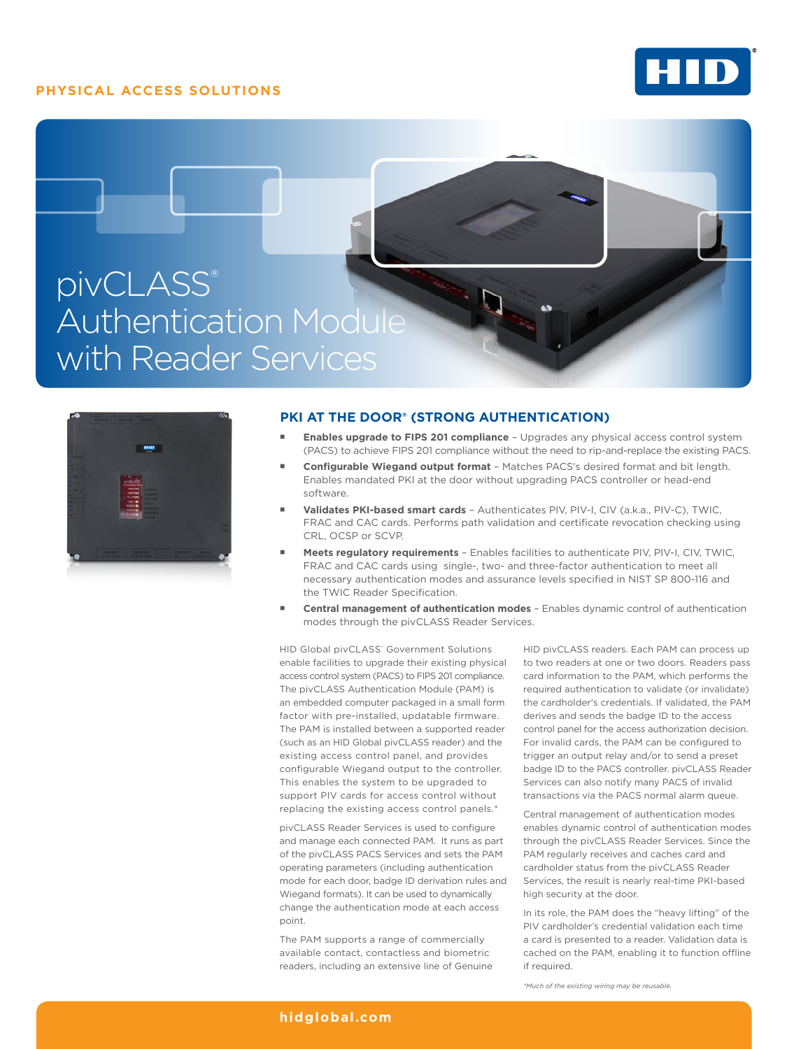### **PHYSICAL ACCESS SOLUTIONS**



# pivCLASS® Authentication Module with Reader Services



#### **PKI AT THE DOOR® (STRONG AUTHENTICATION)**

- **Enables upgrade to FIPS 201 compliance** Upgrades any physical access control system (PACS) to achieve FIPS 201 compliance without the need to rip-and-replace the existing PACS.
- **Configurable Wiegand output format** Matches PACS's desired format and bit length. Enables mandated PKI at the door without upgrading PACS controller or head-end software.
- **Validates PKI-based smart cards** Authenticates PIV, PIV-I, CIV (a.k.a., PIV-C), TWIC, FRAC and CAC cards. Performs path validation and certificate revocation checking using CRL, OCSP or SCVP.
- **Meets regulatory requirements** Enables facilities to authenticate PIV, PIV-I, CIV, TWIC, FRAC and CAC cards using single-, two- and three-factor authentication to meet all necessary authentication modes and assurance levels specified in NIST SP 800-116 and the TWIC Reader Specification.
- **Central management of authentication modes** Enables dynamic control of authentication modes through the pivCLASS Reader Services.

HID Global pivCLASS' Government Solutions enable facilities to upgrade their existing physical access control system (PACS) to FIPS 201 compliance. The pivCLASS Authentication Module (PAM) is an embedded computer packaged in a small form factor with pre-installed, updatable firmware. The PAM is installed between a supported reader (such as an HID Global pivCLASS reader) and the existing access control panel, and provides configurable Wiegand output to the controller. This enables the system to be upgraded to support PIV cards for access control without replacing the existing access control panels.\*

pivCLASS Reader Services is used to configure and manage each connected PAM. It runs as part of the pivCLASS PACS Services and sets the PAM operating parameters (including authentication mode for each door, badge ID derivation rules and Wiegand formats). It can be used to dynamically change the authentication mode at each access point.

The PAM supports a range of commercially available contact, contactless and biometric readers, including an extensive line of Genuine

HID pivCLASS readers. Each PAM can process up to two readers at one or two doors. Readers pass card information to the PAM, which performs the required authentication to validate (or invalidate) the cardholder's credentials. If validated, the PAM derives and sends the badge ID to the access control panel for the access authorization decision. For invalid cards, the PAM can be configured to trigger an output relay and/or to send a preset badge ID to the PACS controller. pivCLASS Reader Services can also notify many PACS of invalid transactions via the PACS normal alarm queue.

Central management of authentication modes enables dynamic control of authentication modes through the pivCLASS Reader Services. Since the PAM regularly receives and caches card and cardholder status from the pivCLASS Reader Services, the result is nearly real-time PKI-based high security at the door.

In its role, the PAM does the "heavy lifting" of the PIV cardholder's credential validation each time a card is presented to a reader. Validation data is cached on the PAM, enabling it to function offline if required.

*\*Much of the existing wiring may be reusable.*